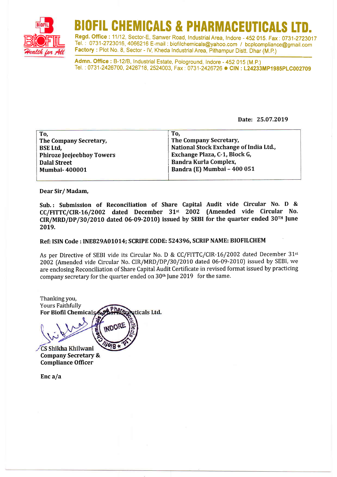

# BIOFIL CHEMICALS & PHARMACEUTICALS LTD.<br>Regd. Office : 11/12, Sector-E, Sanwer Road, Industrial Area, Indore - 452 015. Fax : 0731-2723017

Tel. : 0731-2723016, 4066216 E-mail : biofilchemicals@yahoo.com / bcplcompliance@gmail.com Factory : Plot No. 8, Sector - IV, Kheda Industrial Area, Pithampur Distt. Dhar (M.P.)

Admn. Office : B-12/B, Industrial Estate, Pologround, Indore - 452 015 (M.P.)<br>Tel. : 0731-2426700, 2426718, 2524003, Fax: 0731-2426726 ● CIN: L24233MP1985PLC002709

Date: 25.07.2019

| To,                              | To.                                    |
|----------------------------------|----------------------------------------|
| The Company Secretary,           | The Company Secretary,                 |
| <b>BSE Ltd,</b>                  | National Stock Exchange of India Ltd., |
| <b>Phiroze Jeejeebhoy Towers</b> | Exchange Plaza, C-1, Block G,          |
| <b>Dalal Street</b>              | Bandra Kurla Complex,                  |
| <b>Mumbai-400001</b>             | Bandra (E) Mumbai - 400 051            |
|                                  |                                        |

Dear Sir/ Madam,

Sub.: Submission of Reconciliation of Share Capital Audit vide Circular No. D & CC/FITTC/CIR-16/2002 dated December 31<sup>st</sup> 2002 (Amended vide Circular No.  $CIR/MRD/DP/30/2010$  dated 06-09-2010) issued by SEBI for the quarter ended 30<sup>TH</sup> June 20t9.

## Ref: ISIN Code: INEB29A01014; SCRIPE CODE: 524396, SCRIP NAME: BIOFILCHEM

As per Directive of SEBI vide its Circular No. D & CC/FITTC/CIR-16/2002 dated December 31<sup>st</sup> 2002 (Amended vide Circular No. CIR/MRD/DP/30/2010 dated 06-09-20t0J issued by SEBI, we are enclosing Reconciliation of Share Capital Audit Certificate in revised format issued by practicing company secretary for the quarter ended on  $30<sup>th</sup>$  [une 2019 for the same.

Thanking you, Yours Faithfully Phatrix For Biofil Chemica uticals Ltd.  $3018$ CS Shikha Khilwani Company Secretary & Compliance Officer

Enc $a/a$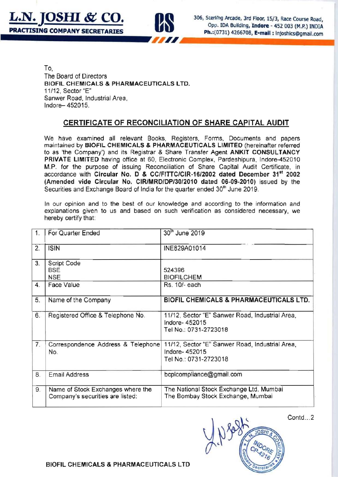



306, Sterling Arcade, 3rd Floor, 15/3, Race Course Road, Opp. IDA Building, Indore - 452 003 (M.P.) INDIA Ph.:(0731) 4266708, E-mail : Injoshics@gmail.com

To, The Board of Directors BIDFIL CHEMICALS & PHARMACEUTICALS LTD. 11112, Sector "E" Sanwer Road, Industrial Area , Indore- 452015.

## CERTIFICATE OF RECONCILIATION OF SHARE CAPITAL AUDIT

We have examined all relevant Books, Registers, Forms, Documents and papers maintained by BIOFIL CHEMICALS & PHARMACEUTICALS LIMITED (hereinafter referred to as 'the Company') and its Registrar & Share Transfer Agent ANKIT CONSULTANCY PRIVATE LIMITED having office at 60, Electronic Complex, Pardeshipura, Indore-452010 M.P. for the purpose of issuing Reconciliation of Share Capital Audit Certificate, in accordance wilh Circular No. 0 & CC/FITIC/CIR-16/2002 dated December 31" 2002 (Amended vide Circular No. CIRlMRD/DP/30/2010 dated 06-09-2010) issued by Ihe Securities and Exchange Board of India for the quarter ended 30<sup>th</sup> June 2019.

In our opinion and to the best of our knowledge and according to the information and explanations given to us and based on such verification as considered necessary, we hereby certify that:

| 1. | For Quarter Ended                                                     | 30 <sup>th</sup> June 2019                                                                |
|----|-----------------------------------------------------------------------|-------------------------------------------------------------------------------------------|
| 2. | <b>ISIN</b>                                                           | INE829A01014                                                                              |
| 3. | Script Code<br><b>BSE</b><br><b>NSE</b>                               | 524396<br><b>BIOFILCHEM</b>                                                               |
| 4. | Face Value                                                            | Rs. 10/- each                                                                             |
| 5. | Name of the Company                                                   | <b>BIOFIL CHEMICALS &amp; PHARMACEUTICALS LTD.</b>                                        |
| 6. | Registered Office & Telephone No.                                     | 11/12, Sector "E" Sanwer Road, Industrial Area,<br>Indore-452015<br>Tel No.: 0731-2723018 |
| 7. | Correspondence Address & Telephone<br>No.                             | 11/12, Sector "E" Sanwer Road, Industrial Area,<br>Indore-452015<br>Tel No.: 0731-2723018 |
| 8. | <b>Email Address</b>                                                  | bcplcompliance@gmail.com                                                                  |
| 9. | Name of Stock Exchanges where the<br>Company's securities are listed: | The National Stock Exchange Ltd, Mumbai<br>The Bombay Stock Exchange, Mumbai              |

Contd...2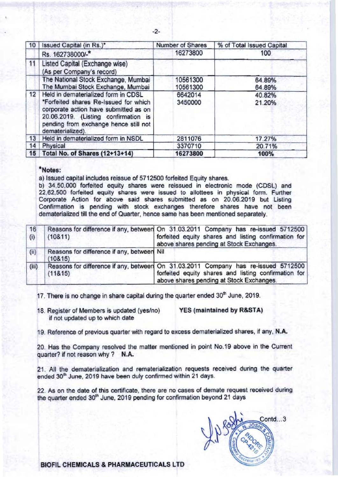| 10 | Issued Capital (in Rs.)*                                                                                                                                                                                                   | Number of Shares     | % of Total Issued Capital |
|----|----------------------------------------------------------------------------------------------------------------------------------------------------------------------------------------------------------------------------|----------------------|---------------------------|
|    | Rs. 162738000/-*                                                                                                                                                                                                           | 16273800             | 100                       |
| 11 | Listed Capital (Exchange wise)<br>(As per Company's record)                                                                                                                                                                |                      |                           |
|    | The National Stock Exchange, Mumbai<br>The Mumbai Stock Exchange, Mumbai                                                                                                                                                   | 10561300<br>10561300 | 64.89%<br>64.89%          |
| 12 | Held in dematerialized form in CDSL<br>*Forfeited shares Re-Issued for which<br>corporate action have submitted as on<br>20.06.2019. (Listing confirmation is<br>pending from exchange hence still not<br>dematerialized). | 6642014<br>3450000   | 40.82%<br>21.20%          |
| 13 | Held in dematerialized form in NSDL                                                                                                                                                                                        | 2811076              | 17.27%                    |
| 14 | Physical                                                                                                                                                                                                                   | 3370710              | 20.71%                    |
| 15 | Total No. of Shares (12+13+14)                                                                                                                                                                                             | 16273800             | 100%                      |

### **\*Notes:**

a) Issued capital includes reissue of 5712500 forfeited Equity shares.

b) 34.50.000 forfeited equity shares were reissued in electronic mode (CDSL) and **22 ,62,500 forfeited equity shares were issued to allottees in physical form. Further Corporate Action for above said shares submitted as on 20.06.2019 but Listing Confirmation is pending with stock exchanges therefore shares have not been dematerialized till the end of Quarter, hence same has been mentioned separately.** 

| 16<br>(i) | (10811)                                                | Reasons for difference if any, between On 31.03.2011 Company has re-issued 5712500<br>forfeited equity shares and listing confirmation for<br>above shares pending at Stock Exchanges. |
|-----------|--------------------------------------------------------|----------------------------------------------------------------------------------------------------------------------------------------------------------------------------------------|
| (ii)      | Reasons for difference if any, between Nil<br>(108.15) |                                                                                                                                                                                        |
| (iii)     | (118.15)                                               | Reasons for difference if any, between On 31.03.2011 Company has re-issued 5712500<br>forfeited equity shares and listing confirmation for<br>above shares pending at Stock Exchanges. |

17. There is no change in share capital during the quarter ended 30<sup>th</sup> June, 2019.

18. Register of Members is updated (yes/no) YES (maintained by R&STA) **if not updated up to which date** 

**19. Reference of previous quarter with regard to excess dematerialized shares, if any. N.A.** 

**20. Has the Company resolved the matter mentioned in point No.19 above in the Current**  quarter? if not reason why? N.A.

**21 . All the dematerialization and rematerialization requests received during the quarter ended 30'" June. 2019 have been duly confirmed within 21 days.** 

**22. As on the date of this certificate, there are no cases of demate request received during**  the quarter ended 30<sup>th</sup> June, 2019 pending for confirmation beyond 21 days

Contd...3

BIOFIL CHEMICALS & PHARMACEUTICALS LTD